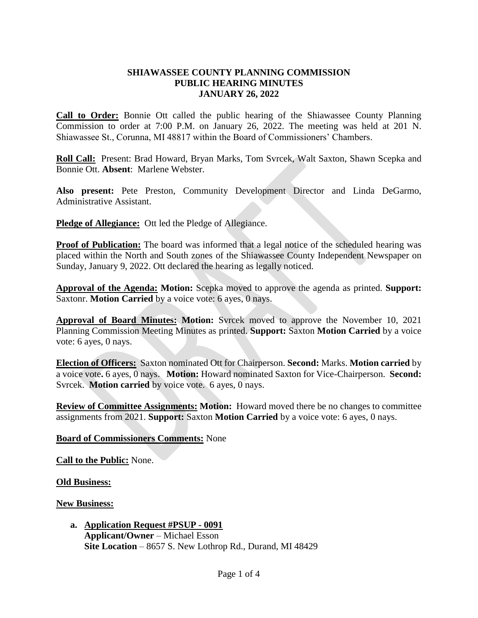## **SHIAWASSEE COUNTY PLANNING COMMISSION PUBLIC HEARING MINUTES JANUARY 26, 2022**

**Call to Order:** Bonnie Ott called the public hearing of the Shiawassee County Planning Commission to order at 7:00 P.M. on January 26, 2022. The meeting was held at 201 N. Shiawassee St., Corunna, MI 48817 within the Board of Commissioners' Chambers.

**Roll Call:** Present: Brad Howard, Bryan Marks, Tom Svrcek, Walt Saxton, Shawn Scepka and Bonnie Ott. **Absent**: Marlene Webster.

**Also present:** Pete Preston, Community Development Director and Linda DeGarmo, Administrative Assistant.

**Pledge of Allegiance:** Ott led the Pledge of Allegiance.

**Proof of Publication:** The board was informed that a legal notice of the scheduled hearing was placed within the North and South zones of the Shiawassee County Independent Newspaper on Sunday, January 9, 2022. Ott declared the hearing as legally noticed.

**Approval of the Agenda: Motion:** Scepka moved to approve the agenda as printed. **Support:**  Saxtonr. **Motion Carried** by a voice vote: 6 ayes, 0 nays.

**Approval of Board Minutes: Motion:** Svrcek moved to approve the November 10, 2021 Planning Commission Meeting Minutes as printed. **Support:** Saxton **Motion Carried** by a voice vote: 6 ayes, 0 nays.

**Election of Officers:** Saxton nominated Ott for Chairperson. **Second:** Marks. **Motion carried** by a voice vote**.** 6 ayes, 0 nays. **Motion:** Howard nominated Saxton for Vice-Chairperson. **Second:** Svrcek. **Motion carried** by voice vote. 6 ayes, 0 nays.

**Review of Committee Assignments: Motion:** Howard moved there be no changes to committee assignments from 2021. **Support:** Saxton **Motion Carried** by a voice vote: 6 ayes, 0 nays.

## **Board of Commissioners Comments:** None

**Call to the Public:** None.

**Old Business:**

**New Business:** 

**a. Application Request #PSUP - 0091 Applicant/Owner** *–* Michael Esson **Site Location** – 8657 S. New Lothrop Rd., Durand, MI 48429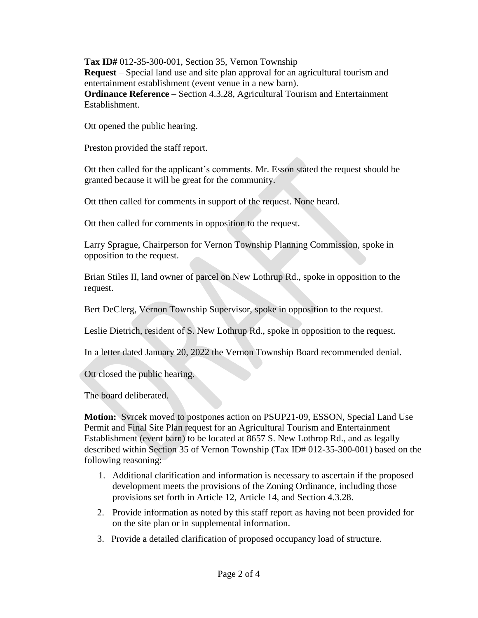**Tax ID#** 012-35-300-001, Section 35, Vernon Township

**Request** – Special land use and site plan approval for an agricultural tourism and entertainment establishment (event venue in a new barn).

**Ordinance Reference** – Section 4.3.28, Agricultural Tourism and Entertainment Establishment.

Ott opened the public hearing.

Preston provided the staff report.

Ott then called for the applicant's comments. Mr. Esson stated the request should be granted because it will be great for the community.

Ott tthen called for comments in support of the request. None heard.

Ott then called for comments in opposition to the request.

Larry Sprague, Chairperson for Vernon Township Planning Commission, spoke in opposition to the request.

Brian Stiles II, land owner of parcel on New Lothrup Rd., spoke in opposition to the request.

Bert DeClerg, Vernon Township Supervisor, spoke in opposition to the request.

Leslie Dietrich, resident of S. New Lothrup Rd., spoke in opposition to the request.

In a letter dated January 20, 2022 the Vernon Township Board recommended denial.

Ott closed the public hearing.

The board deliberated.

**Motion:** Svrcek moved to postpones action on PSUP21-09, ESSON, Special Land Use Permit and Final Site Plan request for an Agricultural Tourism and Entertainment Establishment (event barn) to be located at 8657 S. New Lothrop Rd., and as legally described within Section 35 of Vernon Township (Tax ID# 012-35-300-001) based on the following reasoning:

- 1. Additional clarification and information is necessary to ascertain if the proposed development meets the provisions of the Zoning Ordinance, including those provisions set forth in Article 12, Article 14, and Section 4.3.28.
- 2. Provide information as noted by this staff report as having not been provided for on the site plan or in supplemental information.
- 3. Provide a detailed clarification of proposed occupancy load of structure.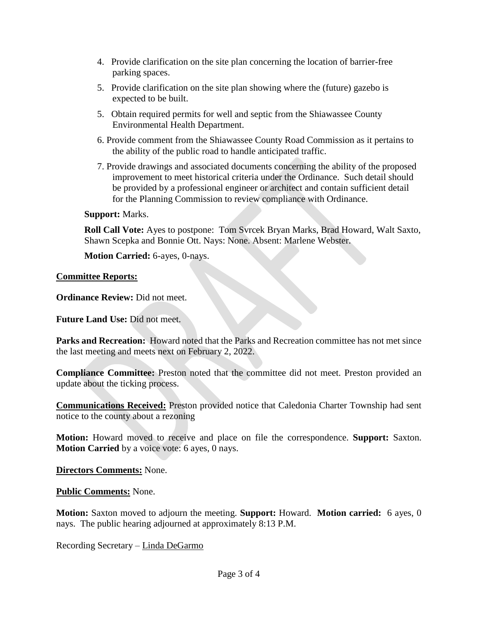- 4. Provide clarification on the site plan concerning the location of barrier-free parking spaces.
- 5. Provide clarification on the site plan showing where the (future) gazebo is expected to be built.
- 5. Obtain required permits for well and septic from the Shiawassee County Environmental Health Department.
- 6. Provide comment from the Shiawassee County Road Commission as it pertains to the ability of the public road to handle anticipated traffic.
- 7. Provide drawings and associated documents concerning the ability of the proposed improvement to meet historical criteria under the Ordinance. Such detail should be provided by a professional engineer or architect and contain sufficient detail for the Planning Commission to review compliance with Ordinance.

## **Support:** Marks.

**Roll Call Vote:** Ayes to postpone: Tom Svrcek Bryan Marks, Brad Howard, Walt Saxto, Shawn Scepka and Bonnie Ott. Nays: None. Absent: Marlene Webster.

**Motion Carried:** 6-ayes, 0-nays.

## **Committee Reports:**

**Ordinance Review:** Did not meet.

**Future Land Use:** Did not meet.

**Parks and Recreation:** Howard noted that the Parks and Recreation committee has not met since the last meeting and meets next on February 2, 2022.

**Compliance Committee:** Preston noted that the committee did not meet. Preston provided an update about the ticking process.

**Communications Received:** Preston provided notice that Caledonia Charter Township had sent notice to the county about a rezoning

**Motion:** Howard moved to receive and place on file the correspondence. **Support:** Saxton. **Motion Carried** by a voice vote: 6 ayes, 0 nays.

**Directors Comments:** None.

**Public Comments:** None.

**Motion:** Saxton moved to adjourn the meeting. **Support:** Howard. **Motion carried:** 6 ayes, 0 nays. The public hearing adjourned at approximately 8:13 P.M.

Recording Secretary – Linda DeGarmo